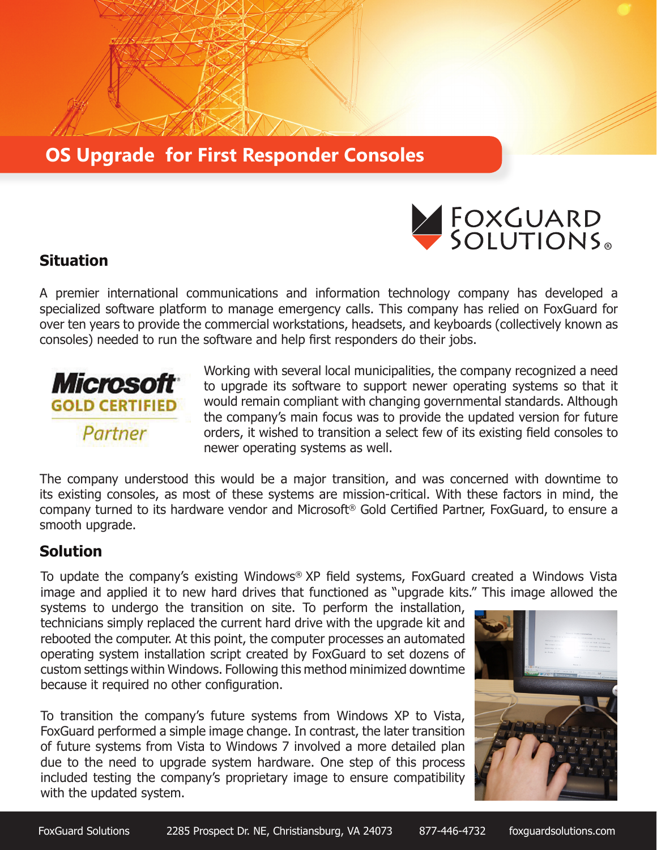## **OS Upgrade for First Responder Consoles**



## **Situation**

A premier international communications and information technology company has developed a specialized software platform to manage emergency calls. This company has relied on FoxGuard for over ten years to provide the commercial workstations, headsets, and keyboards (collectively known as consoles) needed to run the software and help first responders do their jobs.



Working with several local municipalities, the company recognized a need to upgrade its software to support newer operating systems so that it would remain compliant with changing governmental standards. Although the company's main focus was to provide the updated version for future orders, it wished to transition a select few of its existing field consoles to newer operating systems as well.

The company understood this would be a major transition, and was concerned with downtime to its existing consoles, as most of these systems are mission-critical. With these factors in mind, the company turned to its hardware vendor and Microsoft® Gold Certified Partner, FoxGuard, to ensure a smooth upgrade.

## **Solution**

To update the company's existing Windows® XP field systems, FoxGuard created a Windows Vista image and applied it to new hard drives that functioned as "upgrade kits." This image allowed the

systems to undergo the transition on site. To perform the installation, technicians simply replaced the current hard drive with the upgrade kit and rebooted the computer. At this point, the computer processes an automated operating system installation script created by FoxGuard to set dozens of custom settings within Windows. Following this method minimized downtime because it required no other configuration.

To transition the company's future systems from Windows XP to Vista, FoxGuard performed a simple image change. In contrast, the later transition of future systems from Vista to Windows 7 involved a more detailed plan due to the need to upgrade system hardware. One step of this process included testing the company's proprietary image to ensure compatibility with the updated system.